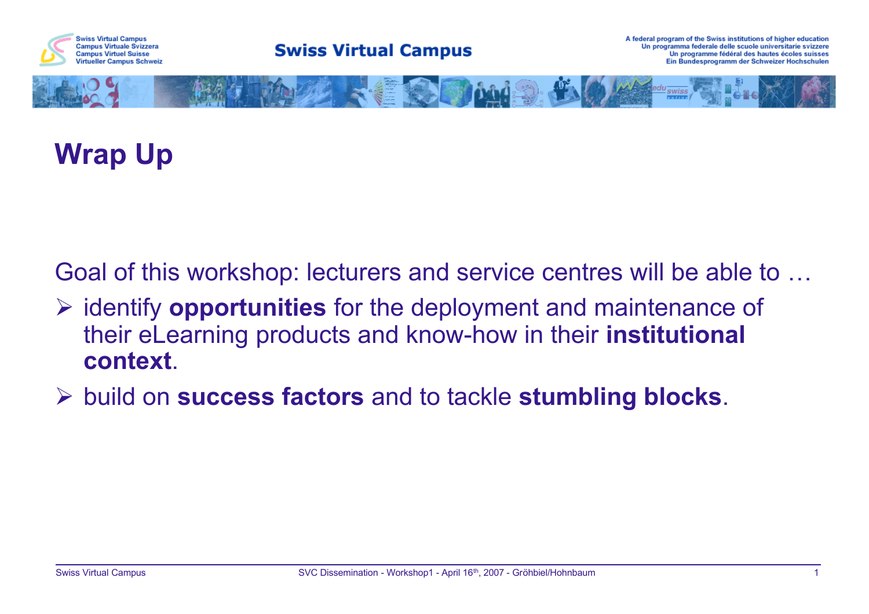



## **Wrap Up**

Goal of this workshop: lecturers and service centres will be able to …

- identify **opportunities** for the deployment and maintenance of their eLearning products and know-how in their **institutional context**.
- build on **success factors** and to tackle **stumbling blocks**.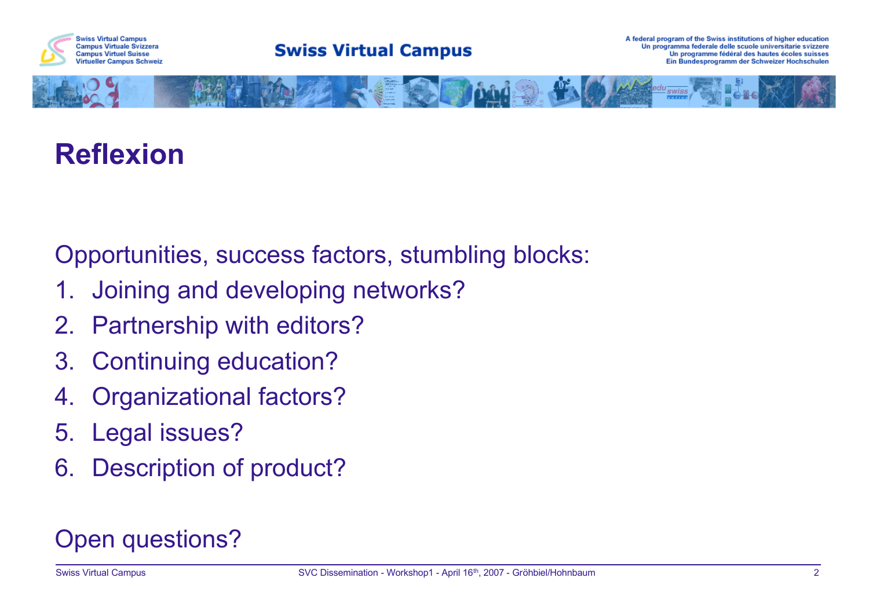



### **Reflexion**

Opportunities, success factors, stumbling blocks:

- 1. Joining and developing networks?
- 2. Partnership with editors?
- 3. Continuing education?
- 4. Organizational factors?
- 5. Legal issues?
- 6. Description of product?

### Open questions?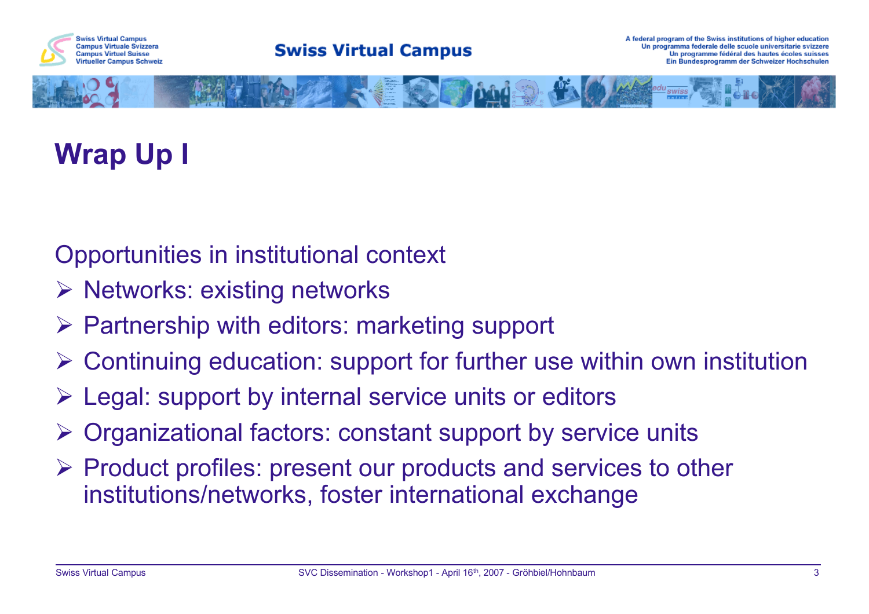



# **Wrap Up I**

### Opportunities in institutional context

- $\triangleright$  Networks: existing networks
- $\triangleright$  Partnership with editors: marketing support
- $\triangleright$  Continuing education: support for further use within own institution
- $\triangleright$  Legal: support by internal service units or editors
- $\triangleright$  Organizational factors: constant support by service units
- $\triangleright$  Product profiles: present our products and services to other institutions/networks, foster international exchange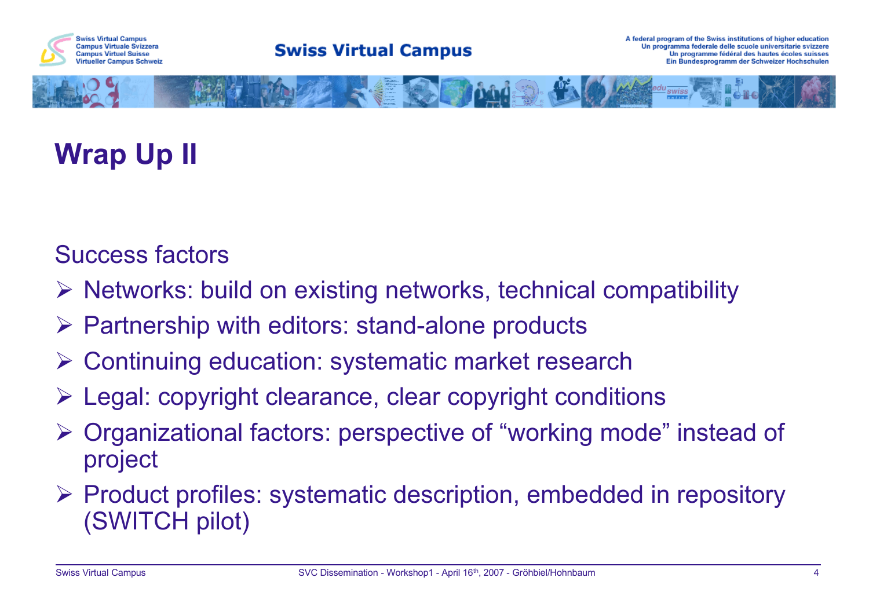



# **Wrap Up II**

#### Success factors

- $\triangleright$  Networks: build on existing networks, technical compatibility
- $\triangleright$  Partnership with editors: stand-alone products
- Continuing education: systematic market research
- $\triangleright$  Legal: copyright clearance, clear copyright conditions
- Organizational factors: perspective of "working mode" instead of project
- $\triangleright$  Product profiles: systematic description, embedded in repository (SWITCH pilot)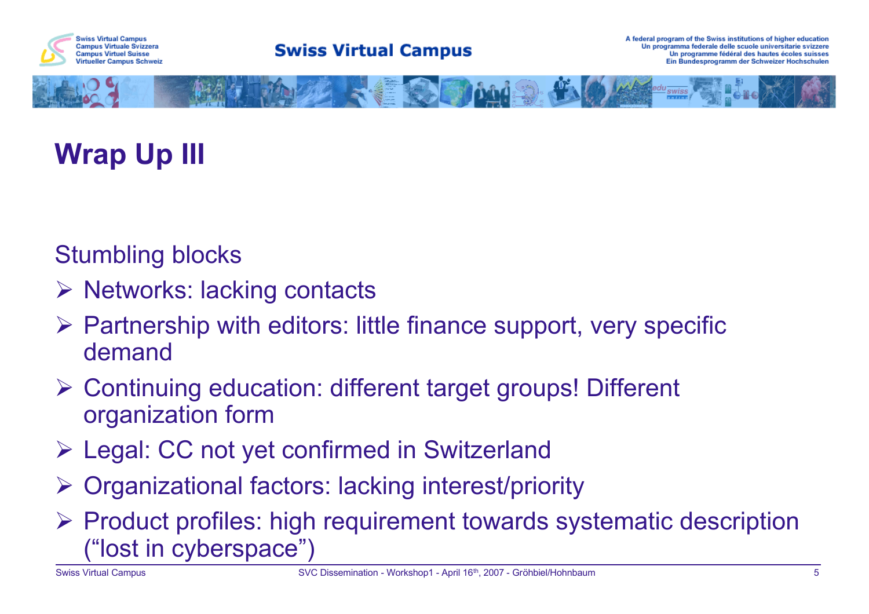



# **Wrap Up III**

### Stumbling blocks

- $\triangleright$  Networks: lacking contacts
- $\triangleright$  Partnership with editors: little finance support, very specific demand
- Continuing education: different target groups! Different organization form
- Legal: CC not yet confirmed in Switzerland
- Organizational factors: lacking interest/priority
- $\triangleright$  Product profiles: high requirement towards systematic description ("lost in cyberspace")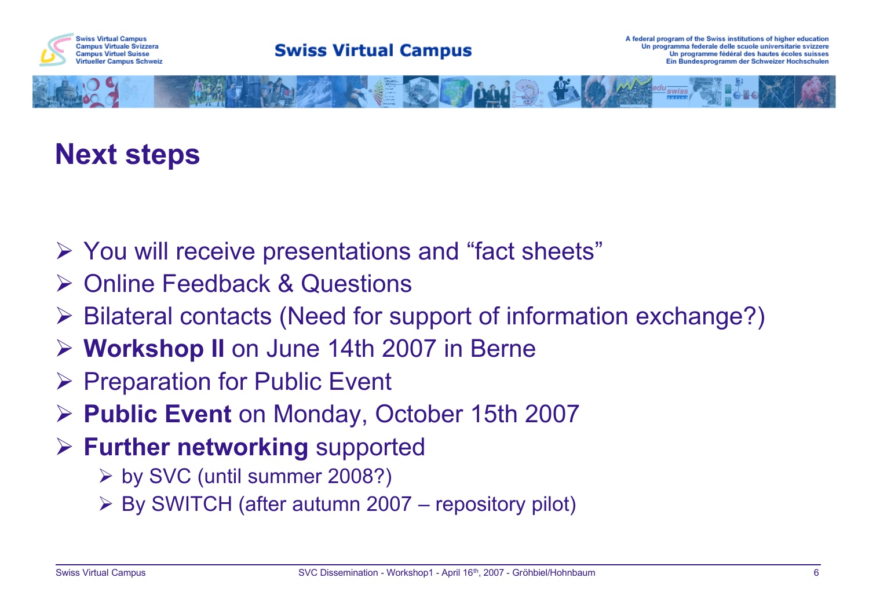



### **Next steps**

- $\triangleright$  You will receive presentations and "fact sheets"
- **► Online Feedback & Questions**
- Bilateral contacts (Need for support of information exchange?)
- **Workshop II** on June 14th 2007 in Berne
- $\triangleright$  Preparation for Public Event
- **Public Event** on Monday, October 15th 2007
- **Further networking** supported
	- $\triangleright$  by SVC (until summer 2008?)
	- $\triangleright$  By SWITCH (after autumn 2007 repository pilot)